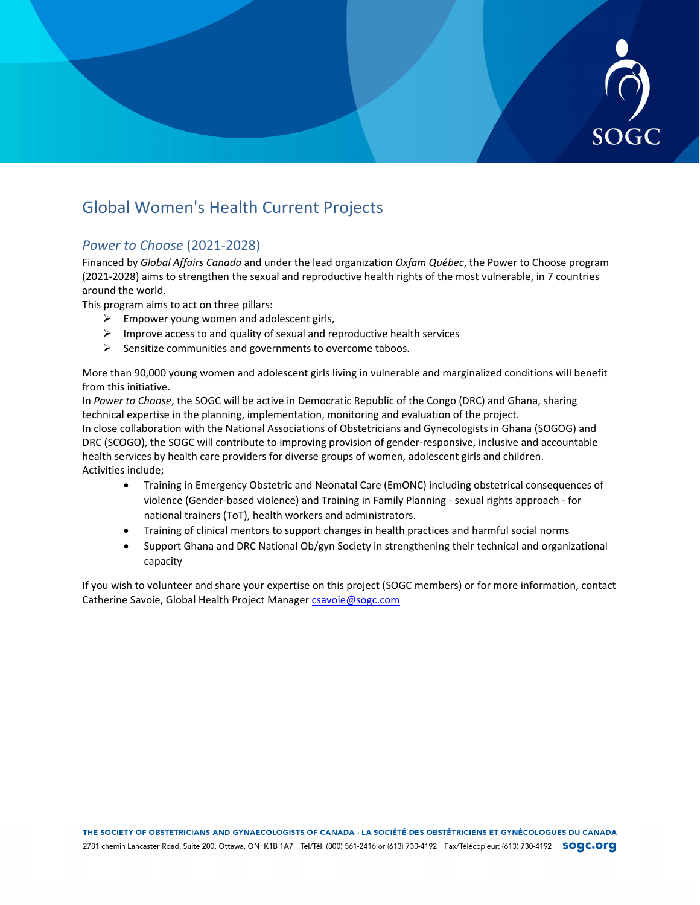

# Global Women's Health Current Projects

## *Power to Choose* (2021-2028)

Financed by *Global Affairs Canada* and under the lead organization *Oxfam Québec*, the Power to Choose program (2021-2028) aims to strengthen the sexual and reproductive health rights of the most vulnerable, in 7 countries around the world.

This program aims to act on three pillars:

- $\triangleright$  Empower young women and adolescent girls,
- $\triangleright$  Improve access to and quality of sexual and reproductive health services
- $\triangleright$  Sensitize communities and governments to overcome taboos.

More than 90,000 young women and adolescent girls living in vulnerable and marginalized conditions will benefit from this initiative.

In *Power to Choose*, the SOGC will be active in Democratic Republic of the Congo (DRC) and Ghana, sharing technical expertise in the planning, implementation, monitoring and evaluation of the project. In close collaboration with the National Associations of Obstetricians and Gynecologists in Ghana (SOGOG) and DRC (SCOGO), the SOGC will contribute to improving provision of gender-responsive, inclusive and accountable health services by health care providers for diverse groups of women, adolescent girls and children. Activities include;

- Training in Emergency Obstetric and Neonatal Care (EmONC) including obstetrical consequences of violence (Gender-based violence) and Training in Family Planning - sexual rights approach - for national trainers (ToT), health workers and administrators.
- Training of clinical mentors to support changes in health practices and harmful social norms
- Support Ghana and DRC National Ob/gyn Society in strengthening their technical and organizational capacity

If you wish to volunteer and share your expertise on this project (SOGC members) or for more information, contact Catherine Savoie, Global Health Project Manager [csavoie@sogc.com](mailto:csavoie@sogc.com)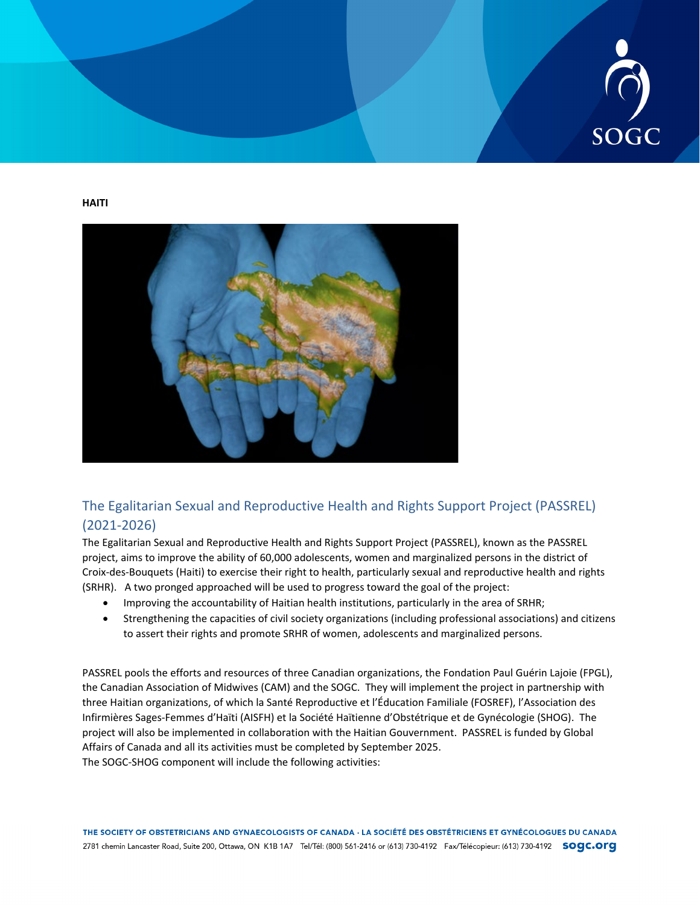

**HAITI**



# The Egalitarian Sexual and Reproductive Health and Rights Support Project (PASSREL) (2021-2026)

The Egalitarian Sexual and Reproductive Health and Rights Support Project (PASSREL), known as the PASSREL project, aims to improve the ability of 60,000 adolescents, women and marginalized persons in the district of Croix-des-Bouquets (Haiti) to exercise their right to health, particularly sexual and reproductive health and rights (SRHR). A two pronged approached will be used to progress toward the goal of the project:

- Improving the accountability of Haitian health institutions, particularly in the area of SRHR;
- Strengthening the capacities of civil society organizations (including professional associations) and citizens to assert their rights and promote SRHR of women, adolescents and marginalized persons.

PASSREL pools the efforts and resources of three Canadian organizations, the Fondation Paul Guérin Lajoie (FPGL), the Canadian Association of Midwives (CAM) and the SOGC. They will implement the project in partnership with three Haitian organizations, of which la Santé Reproductive et l'Éducation Familiale (FOSREF), l'Association des Infirmières Sages-Femmes d'Haïti (AISFH) et la Société Haïtienne d'Obstétrique et de Gynécologie (SHOG). The project will also be implemented in collaboration with the Haitian Gouvernment. PASSREL is funded by Global Affairs of Canada and all its activities must be completed by September 2025. The SOGC-SHOG component will include the following activities: